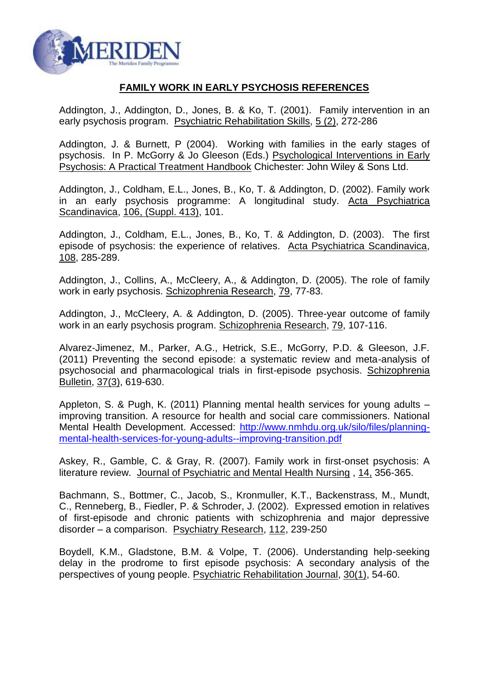

## **FAMILY WORK IN EARLY PSYCHOSIS REFERENCES**

Addington, J., Addington, D., Jones, B. & Ko, T. (2001). Family intervention in an early psychosis program. Psychiatric Rehabilitation Skills, 5 (2), 272-286

Addington, J. & Burnett, P (2004). Working with families in the early stages of psychosis. In P. McGorry & Jo Gleeson (Eds.) Psychological Interventions in Early Psychosis: A Practical Treatment Handbook Chichester: John Wiley & Sons Ltd.

Addington, J., Coldham, E.L., Jones, B., Ko, T. & Addington, D. (2002). Family work in an early psychosis programme: A longitudinal study. Acta Psychiatrica Scandinavica, 106, (Suppl. 413), 101.

Addington, J., Coldham, E.L., Jones, B., Ko, T. & Addington, D. (2003). The first episode of psychosis: the experience of relatives. Acta Psychiatrica Scandinavica, 108, 285-289.

Addington, J., Collins, A., McCleery, A., & Addington, D. (2005). The role of family work in early psychosis. Schizophrenia Research, 79, 77-83.

Addington, J., McCleery, A. & Addington, D. (2005). Three-year outcome of family work in an early psychosis program. Schizophrenia Research, 79, 107-116.

Alvarez-Jimenez, M., Parker, A.G., Hetrick, S.E., McGorry, P.D. & Gleeson, J.F. (2011) Preventing the second episode: a systematic review and meta-analysis of psychosocial and pharmacological trials in first-episode psychosis. Schizophrenia Bulletin, 37(3), 619-630.

Appleton, S. & Pugh, K. (2011) Planning mental health services for young adults – improving transition. A resource for health and social care commissioners. National Mental Health Development. Accessed: [http://www.nmhdu.org.uk/silo/files/planning](http://www.nmhdu.org.uk/silo/files/planning-mental-health-services-for-young-adults--improving-transition.pdf)[mental-health-services-for-young-adults--improving-transition.pdf](http://www.nmhdu.org.uk/silo/files/planning-mental-health-services-for-young-adults--improving-transition.pdf)

Askey, R., Gamble, C. & Gray, R. (2007). Family work in first-onset psychosis: A literature review. Journal of Psychiatric and Mental Health Nursing , 14, 356-365.

Bachmann, S., Bottmer, C., Jacob, S., Kronmuller, K.T., Backenstrass, M., Mundt, C., Renneberg, B., Fiedler, P. & Schroder, J. (2002). Expressed emotion in relatives of first-episode and chronic patients with schizophrenia and major depressive disorder – a comparison. Psychiatry Research, 112, 239-250

Boydell, K.M., Gladstone, B.M. & Volpe, T. (2006). Understanding help-seeking delay in the prodrome to first episode psychosis: A secondary analysis of the perspectives of young people. Psychiatric Rehabilitation Journal, 30(1), 54-60.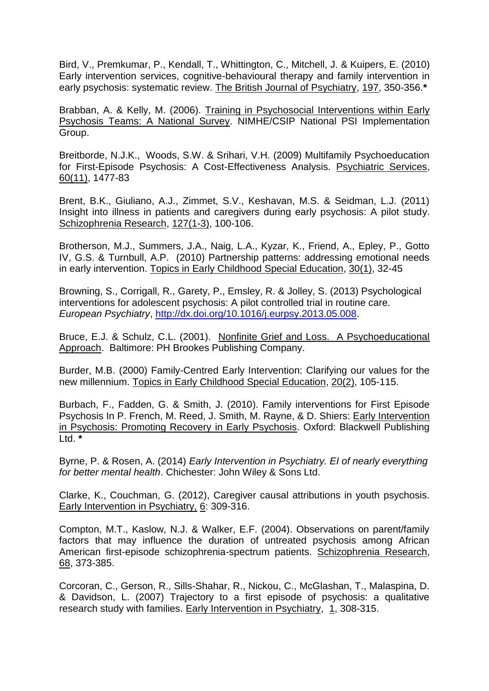Bird, V., Premkumar, P., Kendall, T., Whittington, C., Mitchell, J. & Kuipers, E. (2010) Early intervention services, cognitive-behavioural therapy and family intervention in early psychosis: systematic review. The British Journal of Psychiatry, 197, 350-356.**\***

Brabban, A. & Kelly, M. (2006). Training in Psychosocial Interventions within Early Psychosis Teams: A National Survey. NIMHE/CSIP National PSI Implementation Group.

Breitborde, N.J.K., Woods, S.W. & Srihari, V.H. (2009) Multifamily Psychoeducation for First-Episode Psychosis: A Cost-Effectiveness Analysis. Psychiatric Services, 60(11), 1477-83

Brent, B.K., Giuliano, A.J., Zimmet, S.V., Keshavan, M.S. & Seidman, L.J. (2011) Insight into illness in patients and caregivers during early psychosis: A pilot study. Schizophrenia Research, 127(1-3), 100-106.

Brotherson, M.J., Summers, J.A., Naig, L.A., Kyzar, K., Friend, A., Epley, P., Gotto IV, G.S. & Turnbull, A.P. (2010) Partnership patterns: addressing emotional needs in early intervention. Topics in Early Childhood Special Education, 30(1), 32-45

Browning, S., Corrigall, R., Garety, P., Emsley, R. & Jolley, S. (2013) Psychological interventions for adolescent psychosis: A pilot controlled trial in routine care. *European Psychiatry*, [http://dx.doi.org/10.1016/j.eurpsy.2013.05.008.](http://dx.doi.org/10.1016/j.eurpsy.2013.05.008)

Bruce, E.J. & Schulz, C.L. (2001). Nonfinite Grief and Loss. A Psychoeducational Approach. Baltimore: PH Brookes Publishing Company.

Burder, M.B. (2000) Family-Centred Early Intervention: Clarifying our values for the new millennium. Topics in Early Childhood Special Education, 20(2), 105-115.

Burbach, F., Fadden, G. & Smith, J. (2010). Family interventions for First Episode Psychosis In P. French, M. Reed, J. Smith, M. Rayne, & D. Shiers: Early Intervention in Psychosis: Promoting Recovery in Early Psychosis. Oxford: Blackwell Publishing Ltd. **\***

Byrne, P. & Rosen, A. (2014) *Early Intervention in Psychiatry. EI of nearly everything for better mental health*. Chichester: John Wiley & Sons Ltd.

Clarke, K., Couchman, G. (2012), Caregiver causal attributions in youth psychosis. Early Intervention in Psychiatry, 6: 309-316.

Compton, M.T., Kaslow, N.J. & Walker, E.F. (2004). Observations on parent/family factors that may influence the duration of untreated psychosis among African American first-episode schizophrenia-spectrum patients. Schizophrenia Research, 68, 373-385.

Corcoran, C., Gerson, R., Sills-Shahar, R., Nickou, C., McGlashan, T., Malaspina, D. & Davidson, L. (2007) Trajectory to a first episode of psychosis: a qualitative research study with families. Early Intervention in Psychiatry, 1, 308-315.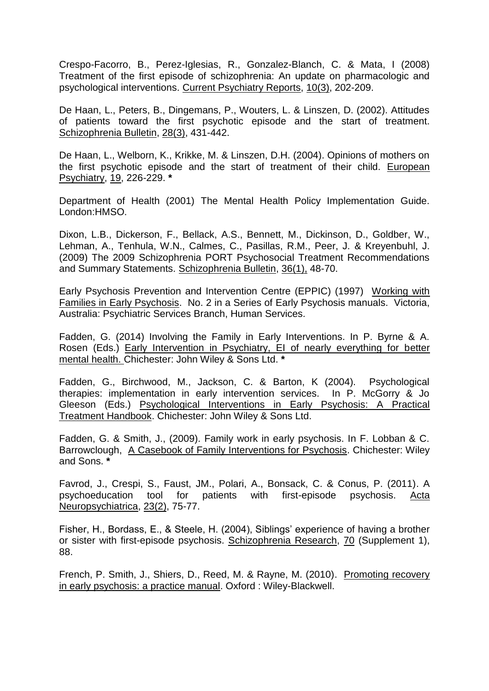Crespo-Facorro, B., Perez-Iglesias, R., Gonzalez-Blanch, C. & Mata, I (2008) Treatment of the first episode of schizophrenia: An update on pharmacologic and psychological interventions. Current Psychiatry Reports, 10(3), 202-209.

De Haan, L., Peters, B., Dingemans, P., Wouters, L. & Linszen, D. (2002). Attitudes of patients toward the first psychotic episode and the start of treatment. Schizophrenia Bulletin, 28(3), 431-442.

De Haan, L., Welborn, K., Krikke, M. & Linszen, D.H. (2004). Opinions of mothers on the first psychotic episode and the start of treatment of their child. European Psychiatry, 19, 226-229. **\***

Department of Health (2001) The Mental Health Policy Implementation Guide. London:HMSO.

Dixon, L.B., Dickerson, F., Bellack, A.S., Bennett, M., Dickinson, D., Goldber, W., Lehman, A., Tenhula, W.N., Calmes, C., Pasillas, R.M., Peer, J. & Kreyenbuhl, J. (2009) The 2009 Schizophrenia PORT Psychosocial Treatment Recommendations and Summary Statements. Schizophrenia Bulletin, 36(1), 48-70.

Early Psychosis Prevention and Intervention Centre (EPPIC) (1997) Working with Families in Early Psychosis. No. 2 in a Series of Early Psychosis manuals. Victoria, Australia: Psychiatric Services Branch, Human Services.

Fadden, G. (2014) Involving the Family in Early Interventions. In P. Byrne & A. Rosen (Eds.) Early Intervention in Psychiatry, EI of nearly everything for better mental health. Chichester: John Wiley & Sons Ltd. **\***

Fadden, G., Birchwood, M., Jackson, C. & Barton, K (2004). Psychological therapies: implementation in early intervention services. In P. McGorry & Jo Gleeson (Eds.) Psychological Interventions in Early Psychosis: A Practical Treatment Handbook. Chichester: John Wiley & Sons Ltd.

Fadden, G. & Smith, J., (2009). Family work in early psychosis. In F. Lobban & C. Barrowclough, A Casebook of Family Interventions for Psychosis. Chichester: Wiley and Sons. **\***

Favrod, J., Crespi, S., Faust, JM., Polari, A., Bonsack, C. & Conus, P. (2011). A psychoeducation tool for patients with first-episode psychosis. Acta Neuropsychiatrica, 23(2), 75-77.

Fisher, H., Bordass, E., & Steele, H. (2004), Siblings' experience of having a brother or sister with first-episode psychosis. Schizophrenia Research, 70 (Supplement 1), 88.

French, P. Smith, J., Shiers, D., Reed, M. & Rayne, M. (2010). Promoting recovery in early psychosis: a practice manual. Oxford : Wiley-Blackwell.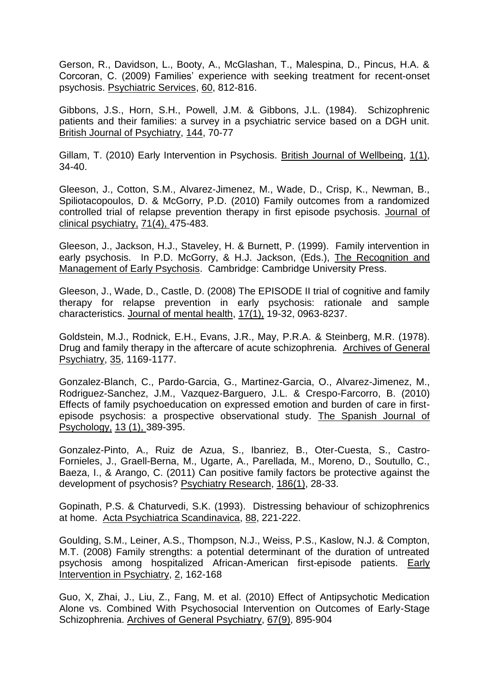Gerson, R., Davidson, L., Booty, A., McGlashan, T., Malespina, D., Pincus, H.A. & Corcoran, C. (2009) Families' experience with seeking treatment for recent-onset psychosis. Psychiatric Services, 60, 812-816.

Gibbons, J.S., Horn, S.H., Powell, J.M. & Gibbons, J.L. (1984). Schizophrenic patients and their families: a survey in a psychiatric service based on a DGH unit. British Journal of Psychiatry, 144, 70-77

Gillam, T. (2010) Early Intervention in Psychosis. British Journal of Wellbeing, 1(1), 34-40.

Gleeson, J., Cotton, S.M., Alvarez-Jimenez, M., Wade, D., Crisp, K., Newman, B., Spiliotacopoulos, D. & McGorry, P.D. (2010) Family outcomes from a randomized controlled trial of relapse prevention therapy in first episode psychosis. Journal of clinical psychiatry, 71(4), 475-483.

Gleeson, J., Jackson, H.J., Staveley, H. & Burnett, P. (1999). Family intervention in early psychosis. In P.D. McGorry, & H.J. Jackson, (Eds.), The Recognition and Management of Early Psychosis. Cambridge: Cambridge University Press.

Gleeson, J., Wade, D., Castle, D. (2008) The EPISODE II trial of cognitive and family therapy for relapse prevention in early psychosis: rationale and sample characteristics. Journal of mental health, 17(1), 19-32, 0963-8237.

Goldstein, M.J., Rodnick, E.H., Evans, J.R., May, P.R.A. & Steinberg, M.R. (1978). Drug and family therapy in the aftercare of acute schizophrenia. Archives of General Psychiatry, 35, 1169-1177.

Gonzalez-Blanch, C., Pardo-Garcia, G., Martinez-Garcia, O., Alvarez-Jimenez, M., Rodriguez-Sanchez, J.M., Vazquez-Barguero, J.L. & Crespo-Farcorro, B. (2010) Effects of family psychoeducation on expressed emotion and burden of care in firstepisode psychosis: a prospective observational study. The Spanish Journal of Psychology, 13 (1), 389-395.

Gonzalez-Pinto, A., Ruiz de Azua, S., Ibanriez, B., Oter-Cuesta, S., Castro-Fornieles, J., Graell-Berna, M., Ugarte, A., Parellada, M., Moreno, D., Soutullo, C., Baeza, I., & Arango, C. (2011) Can positive family factors be protective against the development of psychosis? Psychiatry Research, 186(1), 28-33.

Gopinath, P.S. & Chaturvedi, S.K. (1993). Distressing behaviour of schizophrenics at home. Acta Psychiatrica Scandinavica, 88, 221-222.

Goulding, S.M., Leiner, A.S., Thompson, N.J., Weiss, P.S., Kaslow, N.J. & Compton, M.T. (2008) Family strengths: a potential determinant of the duration of untreated psychosis among hospitalized African-American first-episode patients. Early Intervention in Psychiatry, 2, 162-168

Guo, X, Zhai, J., Liu, Z., Fang, M. et al. (2010) Effect of Antipsychotic Medication Alone vs. Combined With Psychosocial Intervention on Outcomes of Early-Stage Schizophrenia. Archives of General Psychiatry, 67(9), 895-904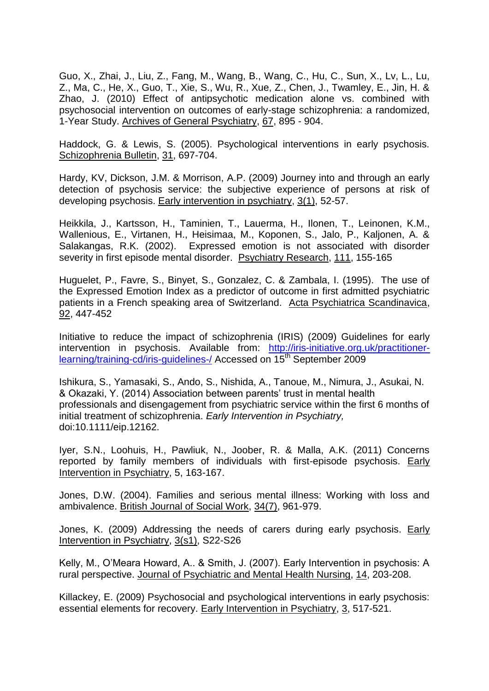Guo, X., Zhai, J., Liu, Z., Fang, M., Wang, B., Wang, C., Hu, C., Sun, X., Lv, L., Lu, Z., Ma, C., He, X., Guo, T., Xie, S., Wu, R., Xue, Z., Chen, J., Twamley, E., Jin, H. & Zhao, J. (2010) Effect of antipsychotic medication alone vs. combined with psychosocial intervention on outcomes of early-stage schizophrenia: a randomized, 1-Year Study. Archives of General Psychiatry, 67, 895 - 904.

Haddock, G. & Lewis, S. (2005). Psychological interventions in early psychosis. Schizophrenia Bulletin, 31, 697-704.

Hardy, KV, Dickson, J.M. & Morrison, A.P. (2009) Journey into and through an early detection of psychosis service: the subjective experience of persons at risk of developing psychosis. Early intervention in psychiatry, 3(1), 52-57.

Heikkila, J., Kartsson, H., Taminien, T., Lauerma, H., Ilonen, T., Leinonen, K.M., Wallenious, E., Virtanen, H., Heisimaa, M., Koponen, S., Jalo, P., Kaljonen, A. & Salakangas, R.K. (2002). Expressed emotion is not associated with disorder severity in first episode mental disorder. Psychiatry Research, 111, 155-165

Huguelet, P., Favre, S., Binyet, S., Gonzalez, C. & Zambala, I. (1995). The use of the Expressed Emotion Index as a predictor of outcome in first admitted psychiatric patients in a French speaking area of Switzerland. Acta Psychiatrica Scandinavica, 92, 447-452

Initiative to reduce the impact of schizophrenia (IRIS) (2009) Guidelines for early intervention in psychosis. Available from: [http://iris-initiative.org.uk/practitioner](http://iris-initiative.org.uk/practitioner-learning/training-cd/iris-guidelines-/)[learning/training-cd/iris-guidelines-/](http://iris-initiative.org.uk/practitioner-learning/training-cd/iris-guidelines-/) Accessed on 15<sup>th</sup> September 2009

Ishikura, S., Yamasaki, S., Ando, S., Nishida, A., Tanoue, M., Nimura, J., Asukai, N. & Okazaki, Y. (2014) Association between parents' trust in mental health professionals and disengagement from psychiatric service within the first 6 months of initial treatment of schizophrenia. *Early Intervention in Psychiatry,* doi:10.1111/eip.12162.

Iyer, S.N., Loohuis, H., Pawliuk, N., Joober, R. & Malla, A.K. (2011) Concerns reported by family members of individuals with first-episode psychosis. Early Intervention in Psychiatry, 5, 163-167.

Jones, D.W. (2004). Families and serious mental illness: Working with loss and ambivalence. British Journal of Social Work, 34(7), 961-979.

Jones, K. (2009) Addressing the needs of carers during early psychosis. Early Intervention in Psychiatry, 3(s1), S22-S26

Kelly, M., O'Meara Howard, A.. & Smith, J. (2007). Early Intervention in psychosis: A rural perspective. Journal of Psychiatric and Mental Health Nursing, 14, 203-208.

Killackey, E. (2009) Psychosocial and psychological interventions in early psychosis: essential elements for recovery. Early Intervention in Psychiatry, 3, 517-521.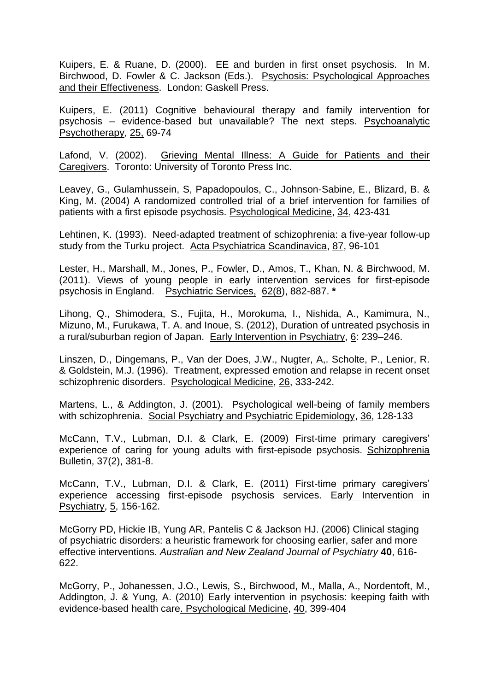Kuipers, E. & Ruane, D. (2000). EE and burden in first onset psychosis. In M. Birchwood, D. Fowler & C. Jackson (Eds.). Psychosis: Psychological Approaches and their Effectiveness. London: Gaskell Press.

Kuipers, E. (2011) Cognitive behavioural therapy and family intervention for psychosis – evidence-based but unavailable? The next steps. Psychoanalytic Psychotherapy, 25, 69-74

Lafond, V. (2002). Grieving Mental Illness: A Guide for Patients and their Caregivers. Toronto: University of Toronto Press Inc.

Leavey, G., Gulamhussein, S, Papadopoulos, C., Johnson-Sabine, E., Blizard, B. & King, M. (2004) A randomized controlled trial of a brief intervention for families of patients with a first episode psychosis. Psychological Medicine, 34, 423-431

Lehtinen, K. (1993). Need-adapted treatment of schizophrenia: a five-year follow-up study from the Turku project. Acta Psychiatrica Scandinavica, 87, 96-101

Lester, H., Marshall, M., Jones, P., Fowler, D., Amos, T., Khan, N. & Birchwood, M. (2011). Views of young people in early intervention services for first-episode psychosis in England. Psychiatric Services, 62(8), 882-887. **\***

Lihong, Q., Shimodera, S., Fujita, H., Morokuma, I., Nishida, A., Kamimura, N., Mizuno, M., Furukawa, T. A. and Inoue, S. (2012), Duration of untreated psychosis in a rural/suburban region of Japan. Early Intervention in Psychiatry, 6: 239–246.

Linszen, D., Dingemans, P., Van der Does, J.W., Nugter, A,. Scholte, P., Lenior, R. & Goldstein, M.J. (1996). Treatment, expressed emotion and relapse in recent onset schizophrenic disorders. Psychological Medicine, 26, 333-242.

Martens, L., & Addington, J. (2001). Psychological well-being of family members with schizophrenia. Social Psychiatry and Psychiatric Epidemiology, 36, 128-133

McCann, T.V., Lubman, D.I. & Clark, E. (2009) First-time primary caregivers' experience of caring for young adults with first-episode psychosis. Schizophrenia Bulletin, 37(2), 381-8.

McCann, T.V., Lubman, D.I. & Clark, E. (2011) First-time primary caregivers' experience accessing first-episode psychosis services. Early Intervention in Psychiatry, 5, 156-162.

[McGorry PD,](http://www.ncbi.nlm.nih.gov/pubmed?term=%22McGorry%20PD%22%5BAuthor%5D) [Hickie IB,](http://www.ncbi.nlm.nih.gov/pubmed?term=%22Hickie%20IB%22%5BAuthor%5D) [Yung AR,](http://www.ncbi.nlm.nih.gov/pubmed?term=%22Yung%20AR%22%5BAuthor%5D) [Pantelis C](http://www.ncbi.nlm.nih.gov/pubmed?term=%22Pantelis%20C%22%5BAuthor%5D) & [Jackson HJ.](http://www.ncbi.nlm.nih.gov/pubmed?term=%22Jackson%20HJ%22%5BAuthor%5D) (2006) Clinical staging of psychiatric disorders: a heuristic framework for choosing earlier, safer and more effective interventions. *Australian and New Zealand Journal of Psychiatry* **40**, 616- 622.

McGorry, P., Johanessen, J.O., Lewis, S., Birchwood, M., Malla, A., Nordentoft, M., Addington, J. & Yung, A. (2010) Early intervention in psychosis: keeping faith with evidence-based health care. Psychological Medicine, 40, 399-404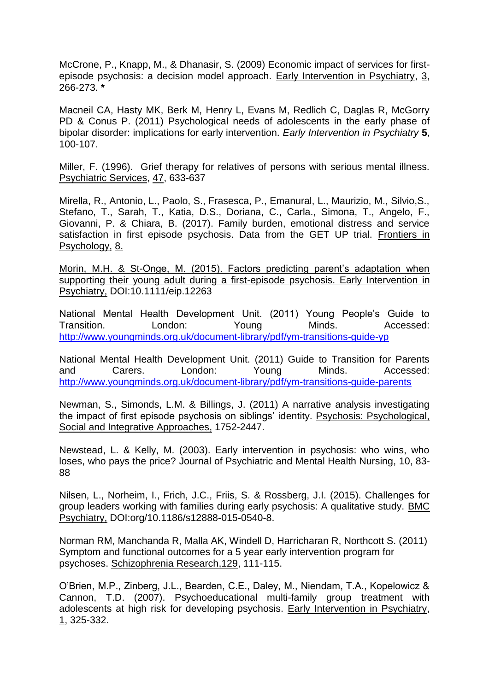McCrone, P., Knapp, M., & Dhanasir, S. (2009) Economic impact of services for firstepisode psychosis: a decision model approach. Early Intervention in Psychiatry, 3, 266-273. **\***

Macneil CA, Hasty MK, Berk M, Henry L, Evans M, Redlich C, Daglas R, McGorry PD & Conus P. (2011) Psychological needs of adolescents in the early phase of bipolar disorder: implications for early intervention. *Early Intervention in Psychiatry* **5**, 100-107.

Miller, F. (1996). Grief therapy for relatives of persons with serious mental illness. Psychiatric Services, 47, 633-637

Mirella, R., Antonio, L., Paolo, S., Frasesca, P., Emanural, L., Maurizio, M., Silvio,S., Stefano, T., Sarah, T., Katia, D.S., Doriana, C., Carla., Simona, T., Angelo, F., Giovanni, P. & Chiara, B. (2017). Family burden, emotional distress and service satisfaction in first episode psychosis. Data from the GET UP trial. Frontiers in Psychology, 8.

Morin, M.H. & St-Onge, M. (2015). Factors predicting parent's adaptation when supporting their young adult during a first-episode psychosis. Early Intervention in Psychiatry, DOI:10.1111/eip.12263

National Mental Health Development Unit. (2011) Young People's Guide to Transition. London: Young Minds. Accessed: <http://www.youngminds.org.uk/document-library/pdf/ym-transitions-guide-yp>

National Mental Health Development Unit. (2011) Guide to Transition for Parents and Carers. London: Young Minds. Accessed: <http://www.youngminds.org.uk/document-library/pdf/ym-transitions-guide-parents>

Newman, S., Simonds, L.M. & Billings, J. (2011) A narrative analysis investigating the impact of first episode psychosis on siblings' identity. Psychosis: Psychological, Social and Integrative Approaches, 1752-2447.

Newstead, L. & Kelly, M. (2003). Early intervention in psychosis: who wins, who loses, who pays the price? Journal of Psychiatric and Mental Health Nursing, 10, 83- 88

Nilsen, L., Norheim, I., Frich, J.C., Friis, S. & Rossberg, J.I. (2015). Challenges for group leaders working with families during early psychosis: A qualitative study. BMC Psychiatry, DOI:org/10.1186/s12888-015-0540-8.

[Norman RM,](http://www.ncbi.nlm.nih.gov/pubmed?term=%22Norman%20RM%22%5BAuthor%5D) [Manchanda R,](http://www.ncbi.nlm.nih.gov/pubmed?term=%22Manchanda%20R%22%5BAuthor%5D) [Malla AK,](http://www.ncbi.nlm.nih.gov/pubmed?term=%22Malla%20AK%22%5BAuthor%5D) [Windell D,](http://www.ncbi.nlm.nih.gov/pubmed?term=%22Windell%20D%22%5BAuthor%5D) [Harricharan R,](http://www.ncbi.nlm.nih.gov/pubmed?term=%22Harricharan%20R%22%5BAuthor%5D) [Northcott S.](http://www.ncbi.nlm.nih.gov/pubmed?term=%22Northcott%20S%22%5BAuthor%5D) (2011) Symptom and functional outcomes for a 5 year early intervention program for psychoses. Schizophrenia Research,129, 111-115.

O'Brien, M.P., Zinberg, J.L., Bearden, C.E., Daley, M., Niendam, T.A., Kopelowicz & Cannon, T.D. (2007). Psychoeducational multi-family group treatment with adolescents at high risk for developing psychosis. Early Intervention in Psychiatry, 1, 325-332.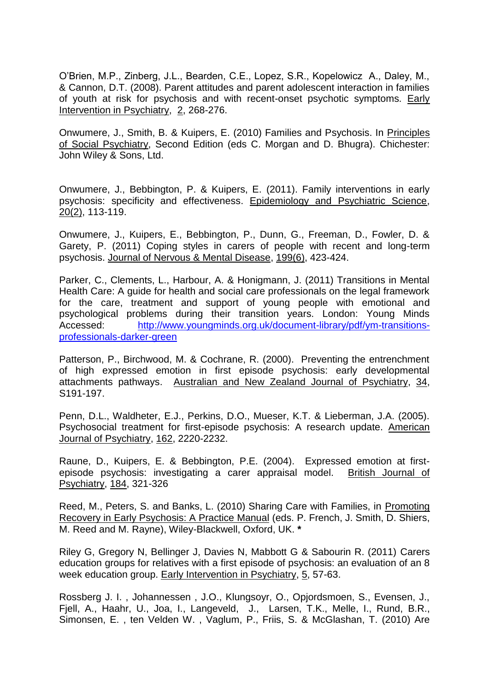O'Brien, M.P., Zinberg, J.L., Bearden, C.E., Lopez, S.R., Kopelowicz A., Daley, M., & Cannon, D.T. (2008). Parent attitudes and parent adolescent interaction in families of vouth at risk for psychosis and with recent-onset psychotic symptoms. Early Intervention in Psychiatry, 2, 268-276.

Onwumere, J., Smith, B. & Kuipers, E. (2010) Families and Psychosis. In Principles of Social Psychiatry, Second Edition (eds C. Morgan and D. Bhugra). Chichester: John Wiley & Sons, Ltd.

Onwumere, J., Bebbington, P. & Kuipers, E. (2011). Family interventions in early psychosis: specificity and effectiveness. Epidemiology and Psychiatric Science, 20(2), 113-119.

Onwumere, J., Kuipers, E., Bebbington, P., Dunn, G., Freeman, D., Fowler, D. & Garety, P. (2011) Coping styles in carers of people with recent and long-term psychosis. Journal of Nervous & Mental Disease, 199(6), 423-424.

Parker, C., Clements, L., Harbour, A. & Honigmann, J. (2011) Transitions in Mental Health Care: A guide for health and social care professionals on the legal framework for the care, treatment and support of young people with emotional and psychological problems during their transition years. London: Young Minds Accessed: [http://www.youngminds.org.uk/document-library/pdf/ym-transitions](http://www.youngminds.org.uk/document-library/pdf/ym-transitions-professionals-darker-green)[professionals-darker-green](http://www.youngminds.org.uk/document-library/pdf/ym-transitions-professionals-darker-green)

Patterson, P., Birchwood, M. & Cochrane, R. (2000). Preventing the entrenchment of high expressed emotion in first episode psychosis: early developmental attachments pathways. Australian and New Zealand Journal of Psychiatry, 34, S191-197.

Penn, D.L., Waldheter, E.J., Perkins, D.O., Mueser, K.T. & Lieberman, J.A. (2005). Psychosocial treatment for first-episode psychosis: A research update. American Journal of Psychiatry, 162, 2220-2232.

Raune, D., Kuipers, E. & Bebbington, P.E. (2004). Expressed emotion at firstepisode psychosis: investigating a carer appraisal model. British Journal of Psychiatry, 184, 321-326

Reed, M., Peters, S. and Banks, L. (2010) Sharing Care with Families, in Promoting Recovery in Early Psychosis: A Practice Manual (eds. P. French, J. Smith, D. Shiers, M. Reed and M. Rayne), Wiley-Blackwell, Oxford, UK. **\***

Riley G, Gregory N, Bellinger J, Davies N, Mabbott G & Sabourin R. (2011) Carers education groups for relatives with a first episode of psychosis: an evaluation of an 8 week education group. Early Intervention in Psychiatry, 5, 57-63.

Rossberg J. I. , Johannessen , J.O., Klungsoyr, O., Opjordsmoen, S., Evensen, J., Fjell, A., Haahr, U., Joa, I., Langeveld, J., Larsen, T.K., Melle, I., Rund, B.R., Simonsen, E. , ten Velden W. , Vaglum, P., Friis, S. & McGlashan, T. (2010) Are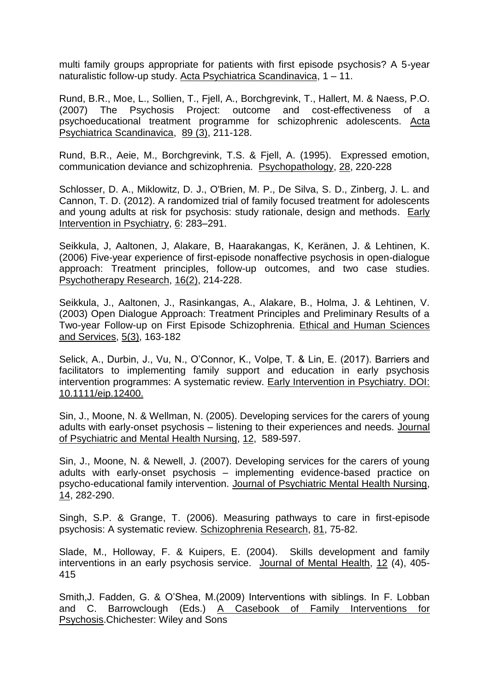multi family groups appropriate for patients with first episode psychosis? A 5-year naturalistic follow-up study. Acta Psychiatrica Scandinavica, 1 – 11.

Rund, B.R., Moe, L., Sollien, T., Fjell, A., Borchgrevink, T., Hallert, M. & Naess, P.O. (2007) The Psychosis Project: outcome and cost-effectiveness of a psychoeducational treatment programme for schizophrenic adolescents. Acta Psychiatrica Scandinavica, 89 (3), 211-128.

Rund, B.R., Aeie, M., Borchgrevink, T.S. & Fjell, A. (1995). Expressed emotion, communication deviance and schizophrenia. Psychopathology, 28, 220-228

Schlosser, D. A., Miklowitz, D. J., O'Brien, M. P., De Silva, S. D., Zinberg, J. L. and Cannon, T. D. (2012). A randomized trial of family focused treatment for adolescents and young adults at risk for psychosis: study rationale, design and methods. Early Intervention in Psychiatry, 6: 283–291.

Seikkula, J, Aaltonen, J, Alakare, B, Haarakangas, K, Keränen, J. & Lehtinen, K. (2006) Five-year experience of first-episode nonaffective psychosis in open-dialogue approach: Treatment principles, follow-up outcomes, and two case studies. Psychotherapy Research, 16(2), 214-228.

Seikkula, J., Aaltonen, J., Rasinkangas, A., Alakare, B., Holma, J. & Lehtinen, V. (2003) Open Dialogue Approach: Treatment Principles and Preliminary Results of a Two-year Follow-up on First Episode Schizophrenia. Ethical and Human Sciences and Services, 5(3), 163-182

Selick, A., Durbin, J., Vu, N., O'Connor, K., Volpe, T. & Lin, E. (2017). Barriers and facilitators to implementing family support and education in early psychosis intervention programmes: A systematic review. Early Intervention in Psychiatry. DOI: 10.1111/eip.12400.

Sin, J., Moone, N. & Wellman, N. (2005). Developing services for the carers of young adults with early-onset psychosis – listening to their experiences and needs. Journal of Psychiatric and Mental Health Nursing, 12, 589-597.

Sin, J., Moone, N. & Newell, J. (2007). Developing services for the carers of young adults with early-onset psychosis – implementing evidence-based practice on psycho-educational family intervention. Journal of Psychiatric Mental Health Nursing, 14, 282-290.

Singh, S.P. & Grange, T. (2006). Measuring pathways to care in first-episode psychosis: A systematic review. Schizophrenia Research, 81, 75-82.

Slade, M., Holloway, F. & Kuipers, E. (2004). Skills development and family interventions in an early psychosis service. Journal of Mental Health, 12 (4), 405- 415

Smith,J. Fadden, G. & O'Shea, M.(2009) Interventions with siblings. In F. Lobban and C. Barrowclough (Eds.) A Casebook of Family Interventions for Psychosis.Chichester: Wiley and Sons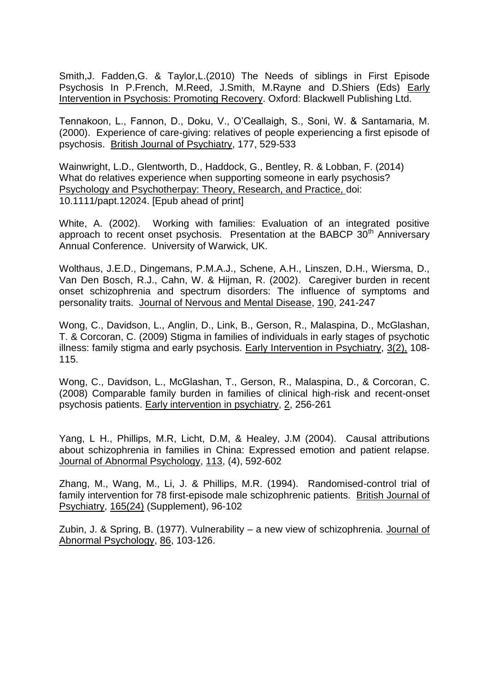Smith,J. Fadden,G. & Taylor,L.(2010) The Needs of siblings in First Episode Psychosis In P.French, M.Reed, J.Smith, M.Rayne and D.Shiers (Eds) Early Intervention in Psychosis: Promoting Recovery. Oxford: Blackwell Publishing Ltd.

Tennakoon, L., Fannon, D., Doku, V., O'Ceallaigh, S., Soni, W. & Santamaria, M. (2000). Experience of care-giving: relatives of people experiencing a first episode of psychosis. British Journal of Psychiatry, 177, 529-533

Wainwright, L.D., Glentworth, D., Haddock, G., Bentley, R. & Lobban, F. (2014) What do relatives experience when supporting someone in early psychosis? Psychology and Psychotherpay: Theory, Research, and Practice, doi: 10.1111/papt.12024. [Epub ahead of print]

White, A. (2002). Working with families: Evaluation of an integrated positive approach to recent onset psychosis. Presentation at the BABCP  $30<sup>th</sup>$  Anniversary Annual Conference. University of Warwick, UK.

Wolthaus, J.E.D., Dingemans, P.M.A.J., Schene, A.H., Linszen, D.H., Wiersma, D., Van Den Bosch, R.J., Cahn, W. & Hijman, R. (2002). Caregiver burden in recent onset schizophrenia and spectrum disorders: The influence of symptoms and personality traits. Journal of Nervous and Mental Disease, 190, 241-247

Wong, C., Davidson, L., Anglin, D., Link, B., Gerson, R., Malaspina, D., McGlashan, T. & Corcoran, C. (2009) Stigma in families of individuals in early stages of psychotic illness: family stigma and early psychosis. Early Intervention in Psychiatry, 3(2), 108- 115.

Wong, C., Davidson, L., McGlashan, T., Gerson, R., Malaspina, D., & Corcoran, C. (2008) Comparable family burden in families of clinical high-risk and recent-onset psychosis patients. Early intervention in psychiatry, 2, 256-261

Yang, L H., Phillips, M.R, Licht, D.M, & Healey, J.M (2004). Causal attributions about schizophrenia in families in China: Expressed emotion and patient relapse. Journal of Abnormal Psychology, 113, (4), 592-602

Zhang, M., Wang, M., Li, J. & Phillips, M.R. (1994). Randomised-control trial of family intervention for 78 first-episode male schizophrenic patients. British Journal of Psychiatry, 165(24) (Supplement), 96-102

Zubin, J. & Spring, B. (1977). Vulnerability - a new view of schizophrenia. Journal of Abnormal Psychology, 86, 103-126.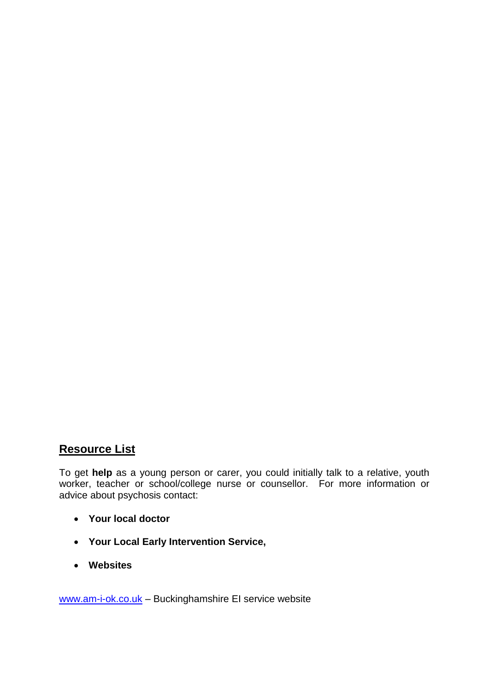## **Resource List**

To get **help** as a young person or carer, you could initially talk to a relative, youth worker, teacher or school/college nurse or counsellor. For more information or advice about psychosis contact:

- **Your local doctor**
- **Your Local Early Intervention Service,**
- **Websites**

[www.am-i-ok.co.uk](http://www.am-i-ok.co.uk/) – Buckinghamshire EI service website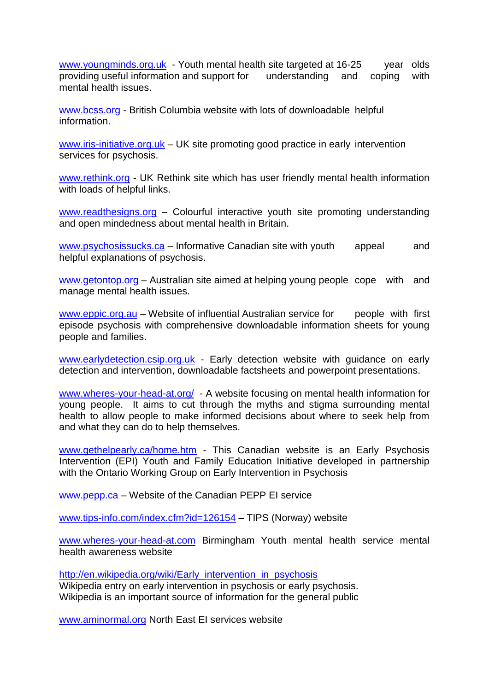[www.youngminds.org.uk](http://www.youngminds.org.uk/) - Youth mental health site targeted at 16-25 year olds providing useful information and support for understanding and coping with mental health issues.

[www.bcss.org](http://www.bcss.org/) - British Columbia website with lots of downloadable helpful information.

[www.iris-initiative.org.uk](http://www.iris-initiative.org.uk/) – UK site promoting good practice in early intervention services for psychosis.

[www.rethink.org](http://www.rethink.org/) - UK Rethink site which has user friendly mental health information with loads of helpful links.

[www.readthesigns.org](http://www.readthesigns.org/) - Colourful interactive youth site promoting understanding and open mindedness about mental health in Britain.

[www.psychosissucks.ca](http://www.psychosissucks.ca/) – Informative Canadian site with youth appeal and helpful explanations of psychosis.

[www.getontop.org](http://www.getontop.org/) – Australian site aimed at helping young people cope with and manage mental health issues.

[www.eppic.org.au](http://www.eppic.org.au/) – Website of influential Australian service for people with first episode psychosis with comprehensive downloadable information sheets for young people and families.

[www.earlydetection.csip.org.uk](http://www.earlydetection.csip.org.uk/) - Early detection website with guidance on early detection and intervention, downloadable factsheets and powerpoint presentations.

[www.wheres-your-head-at.org/](http://www.wheres-your-head-at.org/) - A website focusing on mental health information for young people. It aims to cut through the myths and stigma surrounding mental health to allow people to make informed decisions about where to seek help from and what they can do to help themselves.

[www.gethelpearly.ca/home.htm](http://www.gethelpearly.ca/home.htm) - This Canadian website is an Early Psychosis Intervention (EPI) Youth and Family Education Initiative developed in partnership with the [Ontario Working Group on Early Intervention in Psychosis](http://www.gethelpearly.ca/www.earlypsychosis.com)

[www.pepp.ca](http://www.pepp.ca/) – Website of the Canadian PEPP EI service

[www.tips-info.com/index.cfm?id=126154](http://www.tips-info.com/index.cfm?id=126154) – TIPS (Norway) website

[www.wheres-your-head-at.com](http://www.wheres-your-head-at.com/) Birmingham Youth mental health service mental health awareness website

[http://en.wikipedia.org/wiki/Early\\_intervention\\_in\\_psychosis](http://en.wikipedia.org/wiki/Early_intervention_in_psychosis) Wikipedia entry on early intervention in psychosis or early psychosis. Wikipedia is an important source of information for the general public

[www.aminormal.org](http://www.aminormal.org/) North East EI services website